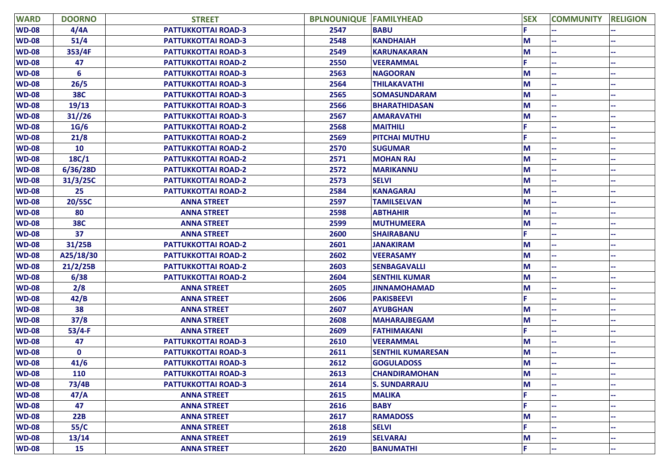| <b>WARD</b>  | <b>DOORNO</b> | <b>STREET</b>              | <b>BPLNOUNIQUE FAMILYHEAD</b> |                          | <b>SEX</b> | <b>COMMUNITY</b> | <b>RELIGION</b> |
|--------------|---------------|----------------------------|-------------------------------|--------------------------|------------|------------------|-----------------|
| <b>WD-08</b> | 4/4A          | <b>PATTUKKOTTAI ROAD-3</b> | 2547                          | <b>BABU</b>              |            |                  |                 |
| <b>WD-08</b> | 51/4          | <b>PATTUKKOTTAI ROAD-3</b> | 2548                          | <b>KANDHAIAH</b>         | М          |                  |                 |
| <b>WD-08</b> | 353/4F        | <b>PATTUKKOTTAI ROAD-3</b> | 2549                          | <b>KARUNAKARAN</b>       | M          |                  |                 |
| <b>WD-08</b> | 47            | <b>PATTUKKOTTAI ROAD-2</b> | 2550                          | <b>VEERAMMAL</b>         | F.         |                  |                 |
| <b>WD-08</b> | 6             | <b>PATTUKKOTTAI ROAD-3</b> | 2563                          | <b>NAGOORAN</b>          | M          |                  |                 |
| <b>WD-08</b> | 26/5          | <b>PATTUKKOTTAI ROAD-3</b> | 2564                          | <b>THILAKAVATHI</b>      | M          |                  |                 |
| <b>WD-08</b> | <b>38C</b>    | <b>PATTUKKOTTAI ROAD-3</b> | 2565                          | <b>SOMASUNDARAM</b>      | M          |                  |                 |
| <b>WD-08</b> | 19/13         | <b>PATTUKKOTTAI ROAD-3</b> | 2566                          | <b>BHARATHIDASAN</b>     | M          |                  |                 |
| <b>WD-08</b> | 31//26        | <b>PATTUKKOTTAI ROAD-3</b> | 2567                          | <b>AMARAVATHI</b>        | М          |                  |                 |
| <b>WD-08</b> | 1G/6          | <b>PATTUKKOTTAI ROAD-2</b> | 2568                          | <b>MAITHILI</b>          |            |                  |                 |
| <b>WD-08</b> | 21/8          | PATTUKKOTTAI ROAD-2        | 2569                          | <b>PITCHAI MUTHU</b>     |            |                  |                 |
| <b>WD-08</b> | <b>10</b>     | <b>PATTUKKOTTAI ROAD-2</b> | 2570                          | <b>SUGUMAR</b>           | M          |                  |                 |
| <b>WD-08</b> | 18C/1         | <b>PATTUKKOTTAI ROAD-2</b> | 2571                          | <b>MOHAN RAJ</b>         | М          |                  |                 |
| <b>WD-08</b> | 6/36/28D      | <b>PATTUKKOTTAI ROAD-2</b> | 2572                          | <b>MARIKANNU</b>         | М          |                  |                 |
| <b>WD-08</b> | 31/3/25C      | <b>PATTUKKOTTAI ROAD-2</b> | 2573                          | <b>SELVI</b>             | M          |                  |                 |
| <b>WD-08</b> | 25            | <b>PATTUKKOTTAI ROAD-2</b> | 2584                          | <b>KANAGARAJ</b>         | M          |                  |                 |
| <b>WD-08</b> | 20/55C        | <b>ANNA STREET</b>         | 2597                          | <b>TAMILSELVAN</b>       | М          |                  |                 |
| <b>WD-08</b> | 80            | <b>ANNA STREET</b>         | 2598                          | <b>ABTHAHIR</b>          | М          |                  |                 |
| <b>WD-08</b> | <b>38C</b>    | <b>ANNA STREET</b>         | 2599                          | <b>MUTHUMEERA</b>        | M          |                  |                 |
| <b>WD-08</b> | 37            | <b>ANNA STREET</b>         | 2600                          | <b>SHAIRABANU</b>        | F          |                  |                 |
| <b>WD-08</b> | 31/25B        | <b>PATTUKKOTTAI ROAD-2</b> | 2601                          | <b>JANAKIRAM</b>         | М          |                  |                 |
| <b>WD-08</b> | A25/18/30     | <b>PATTUKKOTTAI ROAD-2</b> | 2602                          | <b>VEERASAMY</b>         | M          |                  |                 |
| <b>WD-08</b> | 21/2/25B      | <b>PATTUKKOTTAI ROAD-2</b> | 2603                          | <b>SENBAGAVALLI</b>      | M          |                  |                 |
| <b>WD-08</b> | 6/38          | <b>PATTUKKOTTAI ROAD-2</b> | 2604                          | <b>SENTHIL KUMAR</b>     | М          |                  |                 |
| <b>WD-08</b> | 2/8           | <b>ANNA STREET</b>         | 2605                          | <b>JINNAMOHAMAD</b>      | М          |                  |                 |
| <b>WD-08</b> | 42/B          | <b>ANNA STREET</b>         | 2606                          | <b>PAKISBEEVI</b>        | F.         |                  |                 |
| <b>WD-08</b> | 38            | <b>ANNA STREET</b>         | 2607                          | <b>AYUBGHAN</b>          | M          |                  |                 |
| <b>WD-08</b> | 37/8          | <b>ANNA STREET</b>         | 2608                          | <b>MAHARAJBEGAM</b>      | М          |                  |                 |
| <b>WD-08</b> | $53/4-F$      | <b>ANNA STREET</b>         | 2609                          | <b>FATHIMAKANI</b>       | Ē.         |                  |                 |
| <b>WD-08</b> | 47            | <b>PATTUKKOTTAI ROAD-3</b> | 2610                          | <b>VEERAMMAL</b>         | M          |                  |                 |
| <b>WD-08</b> | $\mathbf 0$   | <b>PATTUKKOTTAI ROAD-3</b> | 2611                          | <b>SENTHIL KUMARESAN</b> | M          |                  |                 |
| <b>WD-08</b> | 41/6          | <b>PATTUKKOTTAI ROAD-3</b> | 2612                          | <b>GOGULADOSS</b>        | M          |                  |                 |
| <b>WD-08</b> | 110           | <b>PATTUKKOTTAI ROAD-3</b> | 2613                          | <b>CHANDIRAMOHAN</b>     | M          |                  |                 |
| <b>WD-08</b> | 73/4B         | <b>PATTUKKOTTAI ROAD-3</b> | 2614                          | <b>S. SUNDARRAJU</b>     | M          |                  |                 |
| <b>WD-08</b> | 47/A          | <b>ANNA STREET</b>         | 2615                          | <b>MALIKA</b>            |            |                  |                 |
| <b>WD-08</b> | 47            | <b>ANNA STREET</b>         | 2616                          | <b>BABY</b>              | F.         |                  |                 |
| <b>WD-08</b> | 22B           | <b>ANNA STREET</b>         | 2617                          | <b>RAMADOSS</b>          | M          |                  |                 |
| <b>WD-08</b> | 55/C          | <b>ANNA STREET</b>         | 2618                          | <b>SELVI</b>             | F.         |                  |                 |
| <b>WD-08</b> | 13/14         | <b>ANNA STREET</b>         | 2619                          | <b>SELVARAJ</b>          | M          |                  |                 |
| <b>WD-08</b> | <b>15</b>     | <b>ANNA STREET</b>         | 2620                          | <b>BANUMATHI</b>         | F.         |                  |                 |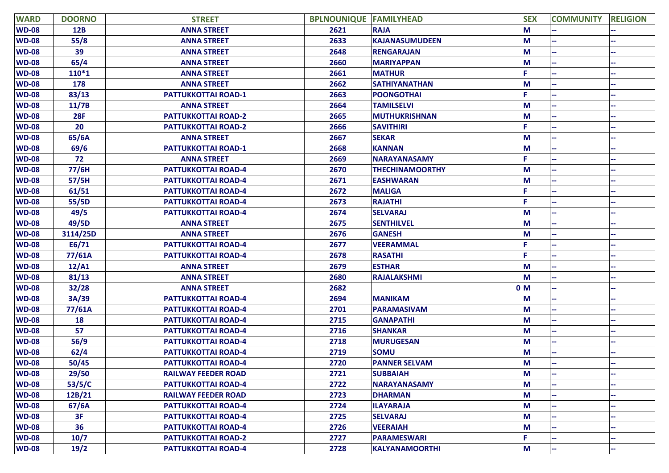| <b>WARD</b>  | <b>DOORNO</b> | <b>STREET</b>              | <b>BPLNOUNIQUE FAMILYHEAD</b> |                        | <b>SEX</b>     | <b>COMMUNITY</b> | <b>RELIGION</b> |
|--------------|---------------|----------------------------|-------------------------------|------------------------|----------------|------------------|-----------------|
| <b>WD-08</b> | <b>12B</b>    | <b>ANNA STREET</b>         | 2621                          | <b>RAJA</b>            | M              |                  |                 |
| <b>WD-08</b> | 55/8          | <b>ANNA STREET</b>         | 2633                          | <b>KAJANASUMUDEEN</b>  | M              |                  |                 |
| <b>WD-08</b> | 39            | <b>ANNA STREET</b>         | 2648                          | <b>RENGARAJAN</b>      | M              |                  |                 |
| <b>WD-08</b> | 65/4          | <b>ANNA STREET</b>         | 2660                          | <b>MARIYAPPAN</b>      | M              |                  |                 |
| <b>WD-08</b> | $110*1$       | <b>ANNA STREET</b>         | 2661                          | <b>MATHUR</b>          | E.             |                  |                 |
| <b>WD-08</b> | 178           | <b>ANNA STREET</b>         | 2662                          | <b>SATHIYANATHAN</b>   | M              |                  |                 |
| <b>WD-08</b> | 83/13         | PATTUKKOTTAI ROAD-1        | 2663                          | <b>POONGOTHAI</b>      |                |                  |                 |
| <b>WD-08</b> | 11/7B         | <b>ANNA STREET</b>         | 2664                          | <b>TAMILSELVI</b>      | M              |                  |                 |
| <b>WD-08</b> | <b>28F</b>    | <b>PATTUKKOTTAI ROAD-2</b> | 2665                          | MUTHUKRISHNAN          | M              |                  |                 |
| <b>WD-08</b> | 20            | <b>PATTUKKOTTAI ROAD-2</b> | 2666                          | <b>SAVITHIRI</b>       | Е              |                  |                 |
| <b>WD-08</b> | 65/6A         | <b>ANNA STREET</b>         | 2667                          | <b>SEKAR</b>           | M              |                  |                 |
| <b>WD-08</b> | 69/6          | <b>PATTUKKOTTAI ROAD-1</b> | 2668                          | <b>KANNAN</b>          | M              |                  |                 |
| <b>WD-08</b> | 72            | <b>ANNA STREET</b>         | 2669                          | <b>NARAYANASAMY</b>    | E.             |                  |                 |
| <b>WD-08</b> | 77/6H         | <b>PATTUKKOTTAI ROAD-4</b> | 2670                          | <b>THECHINAMOORTHY</b> | M              |                  |                 |
| <b>WD-08</b> | 57/5H         | PATTUKKOTTAI ROAD-4        | 2671                          | <b>EASHWARAN</b>       | M              |                  |                 |
| <b>WD-08</b> | 61/51         | <b>PATTUKKOTTAI ROAD-4</b> | 2672                          | <b>MALIGA</b>          |                |                  |                 |
| <b>WD-08</b> | 55/5D         | <b>PATTUKKOTTAI ROAD-4</b> | 2673                          | <b>RAJATHI</b>         |                |                  |                 |
| <b>WD-08</b> | 49/5          | PATTUKKOTTAI ROAD-4        | 2674                          | <b>SELVARAJ</b>        | M              |                  |                 |
| <b>WD-08</b> | 49/5D         | <b>ANNA STREET</b>         | 2675                          | <b>SENTHILVEL</b>      | M              |                  |                 |
| <b>WD-08</b> | 3114/25D      | <b>ANNA STREET</b>         | 2676                          | <b>GANESH</b>          | M              |                  |                 |
| <b>WD-08</b> | E6/71         | PATTUKKOTTAI ROAD-4        | 2677                          | <b>VEERAMMAL</b>       | p              |                  |                 |
| <b>WD-08</b> | 77/61A        | <b>PATTUKKOTTAI ROAD-4</b> | 2678                          | <b>RASATHI</b>         | F              |                  |                 |
| <b>WD-08</b> | 12/A1         | <b>ANNA STREET</b>         | 2679                          | <b>ESTHAR</b>          | M              |                  |                 |
| <b>WD-08</b> | 81/13         | <b>ANNA STREET</b>         | 2680                          | <b>RAJALAKSHMI</b>     | M              |                  |                 |
| <b>WD-08</b> | 32/28         | <b>ANNA STREET</b>         | 2682                          |                        | 0 <sub>M</sub> |                  |                 |
| <b>WD-08</b> | 3A/39         | <b>PATTUKKOTTAI ROAD-4</b> | 2694                          | <b>MANIKAM</b>         | M              |                  |                 |
| <b>WD-08</b> | 77/61A        | <b>PATTUKKOTTAI ROAD-4</b> | 2701                          | <b>PARAMASIVAM</b>     | M              |                  |                 |
| <b>WD-08</b> | 18            | <b>PATTUKKOTTAI ROAD-4</b> | 2715                          | <b>GANAPATHI</b>       | M              |                  |                 |
| <b>WD-08</b> | 57            | <b>PATTUKKOTTAI ROAD-4</b> | 2716                          | <b>SHANKAR</b>         | M              |                  |                 |
| <b>WD-08</b> | 56/9          | <b>PATTUKKOTTAI ROAD-4</b> | 2718                          | <b>MURUGESAN</b>       | M              |                  |                 |
| <b>WD-08</b> | 62/4          | PATTUKKOTTAI ROAD-4        | 2719                          | <b>SOMU</b>            | M              |                  |                 |
| <b>WD-08</b> | 50/45         | <b>PATTUKKOTTAI ROAD-4</b> | 2720                          | <b>PANNER SELVAM</b>   | M              |                  |                 |
| <b>WD-08</b> | 29/50         | <b>RAILWAY FEEDER ROAD</b> | 2721                          | <b>SUBBAIAH</b>        | M              |                  |                 |
| <b>WD-08</b> | 53/5/C        | <b>PATTUKKOTTAI ROAD-4</b> | 2722                          | <b>NARAYANASAMY</b>    | M              |                  |                 |
| <b>WD-08</b> | 12B/21        | <b>RAILWAY FEEDER ROAD</b> | 2723                          | <b>DHARMAN</b>         | $M$            |                  |                 |
| <b>WD-08</b> | 67/6A         | <b>PATTUKKOTTAI ROAD-4</b> | 2724                          | <b>ILAYARAJA</b>       | M              |                  |                 |
| <b>WD-08</b> | 3F            | <b>PATTUKKOTTAI ROAD-4</b> | 2725                          | <b>SELVARAJ</b>        | M              |                  |                 |
| <b>WD-08</b> | 36            | <b>PATTUKKOTTAI ROAD-4</b> | 2726                          | <b>VEERAIAH</b>        | M              |                  |                 |
| <b>WD-08</b> | 10/7          | <b>PATTUKKOTTAI ROAD-2</b> | 2727                          | <b>PARAMESWARI</b>     | E.             |                  |                 |
| <b>WD-08</b> | 19/2          | <b>PATTUKKOTTAI ROAD-4</b> | 2728                          | KALYANAMOORTHI         | M              |                  |                 |